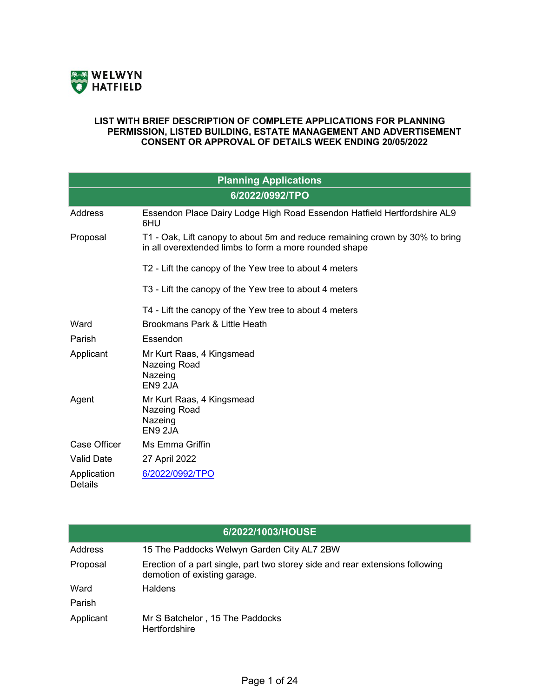

#### **LIST WITH BRIEF DESCRIPTION OF COMPLETE APPLICATIONS FOR PLANNING PERMISSION, LISTED BUILDING, ESTATE MANAGEMENT AND ADVERTISEMENT CONSENT OR APPROVAL OF DETAILS WEEK ENDING 20/05/2022**

| <b>Planning Applications</b>  |                                                                                                                                        |  |
|-------------------------------|----------------------------------------------------------------------------------------------------------------------------------------|--|
|                               | 6/2022/0992/TPO                                                                                                                        |  |
| <b>Address</b>                | Essendon Place Dairy Lodge High Road Essendon Hatfield Hertfordshire AL9<br>6HU                                                        |  |
| Proposal                      | T1 - Oak, Lift canopy to about 5m and reduce remaining crown by 30% to bring<br>in all overextended limbs to form a more rounded shape |  |
|                               | T2 - Lift the canopy of the Yew tree to about 4 meters                                                                                 |  |
|                               | T3 - Lift the canopy of the Yew tree to about 4 meters                                                                                 |  |
| Ward                          | T4 - Lift the canopy of the Yew tree to about 4 meters<br>Brookmans Park & Little Heath                                                |  |
| Parish                        | Essendon                                                                                                                               |  |
| Applicant                     | Mr Kurt Raas, 4 Kingsmead<br>Nazeing Road<br>Nazeing<br>EN9 2JA                                                                        |  |
| Agent                         | Mr Kurt Raas, 4 Kingsmead<br>Nazeing Road<br>Nazeing<br>EN9 2JA                                                                        |  |
| Case Officer                  | Ms Emma Griffin                                                                                                                        |  |
| <b>Valid Date</b>             | 27 April 2022                                                                                                                          |  |
| Application<br><b>Details</b> | 6/2022/0992/TPO                                                                                                                        |  |

|           | 6/2022/1003/HOUSE                                                                                             |
|-----------|---------------------------------------------------------------------------------------------------------------|
| Address   | 15 The Paddocks Welwyn Garden City AL7 2BW                                                                    |
| Proposal  | Erection of a part single, part two storey side and rear extensions following<br>demotion of existing garage. |
| Ward      | <b>Haldens</b>                                                                                                |
| Parish    |                                                                                                               |
| Applicant | Mr S Batchelor, 15 The Paddocks<br><b>Hertfordshire</b>                                                       |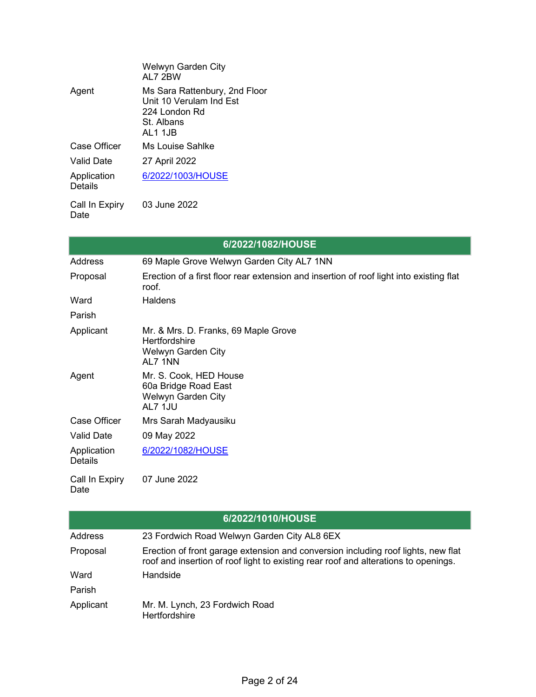|                        | Welwyn Garden City<br>AI 7 2 B W                                                                   |
|------------------------|----------------------------------------------------------------------------------------------------|
| Agent                  | Ms Sara Rattenbury, 2nd Floor<br>Unit 10 Verulam Ind Est<br>224 London Rd<br>St. Albans<br>AL1 1JB |
| Case Officer           | Ms Louise Sahlke                                                                                   |
| <b>Valid Date</b>      | 27 April 2022                                                                                      |
| Application<br>Details | 6/2022/1003/HOUSE                                                                                  |
| Call In Evoint         | פפחפ ההייוד פח                                                                                     |

Call In Expiry 03 June 2022 Date

|                               | 6/2022/1082/HOUSE                                                                                |
|-------------------------------|--------------------------------------------------------------------------------------------------|
| Address                       | 69 Maple Grove Welwyn Garden City AL7 1NN                                                        |
| Proposal                      | Erection of a first floor rear extension and insertion of roof light into existing flat<br>roof. |
| Ward                          | <b>Haldens</b>                                                                                   |
| Parish                        |                                                                                                  |
| Applicant                     | Mr. & Mrs. D. Franks, 69 Maple Grove<br><b>Hertfordshire</b><br>Welwyn Garden City<br>AL7 1NN    |
| Agent                         | Mr. S. Cook, HED House<br>60a Bridge Road East<br>Welwyn Garden City<br>AL7 1JU                  |
| Case Officer                  | Mrs Sarah Madyausiku                                                                             |
| <b>Valid Date</b>             | 09 May 2022                                                                                      |
| Application<br><b>Details</b> | 6/2022/1082/HOUSE                                                                                |
| Call In Expiry<br>Date        | 07 June 2022                                                                                     |

|           | 6/2022/1010/HOUSE                                                                                                                                                        |
|-----------|--------------------------------------------------------------------------------------------------------------------------------------------------------------------------|
| Address   | 23 Fordwich Road Welwyn Garden City AL8 6EX                                                                                                                              |
| Proposal  | Erection of front garage extension and conversion including roof lights, new flat<br>roof and insertion of roof light to existing rear roof and alterations to openings. |
| Ward      | Handside                                                                                                                                                                 |
| Parish    |                                                                                                                                                                          |
| Applicant | Mr. M. Lynch, 23 Fordwich Road<br><b>Hertfordshire</b>                                                                                                                   |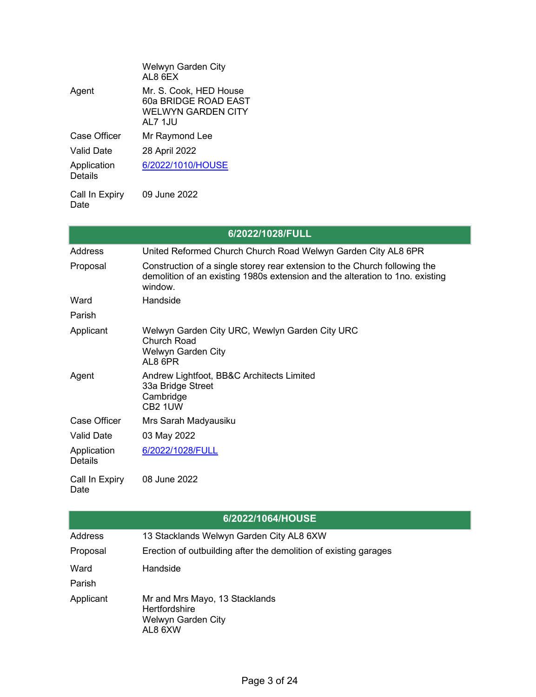|                               | Welwyn Garden City<br>AL8 6EX                                                          |
|-------------------------------|----------------------------------------------------------------------------------------|
| Agent                         | Mr. S. Cook, HED House<br>60a BRIDGE ROAD EAST<br><b>WELWYN GARDEN CITY</b><br>AL7 1JU |
| Case Officer                  | Mr Raymond Lee                                                                         |
| <b>Valid Date</b>             | 28 April 2022                                                                          |
| Application<br><b>Details</b> | 6/2022/1010/HOUSE                                                                      |
| Call In Expiry<br>Date        | 09 June 2022                                                                           |

|                               | 6/2022/1028/FULL                                                                                                                                                       |
|-------------------------------|------------------------------------------------------------------------------------------------------------------------------------------------------------------------|
| Address                       | United Reformed Church Church Road Welwyn Garden City AL8 6PR                                                                                                          |
| Proposal                      | Construction of a single storey rear extension to the Church following the<br>demolition of an existing 1980s extension and the alteration to 1no. existing<br>window. |
| Ward                          | Handside                                                                                                                                                               |
| Parish                        |                                                                                                                                                                        |
| Applicant                     | Welwyn Garden City URC, Wewlyn Garden City URC<br><b>Church Road</b><br><b>Welwyn Garden City</b><br>AL8 6PR                                                           |
| Agent                         | Andrew Lightfoot, BB&C Architects Limited<br>33a Bridge Street<br>Cambridge<br>CB <sub>2</sub> 1UW                                                                     |
| Case Officer                  | Mrs Sarah Madyausiku                                                                                                                                                   |
| <b>Valid Date</b>             | 03 May 2022                                                                                                                                                            |
| Application<br><b>Details</b> | 6/2022/1028/FULL                                                                                                                                                       |
| Call In Expiry<br>Date        | 08 June 2022                                                                                                                                                           |

| 6/2022/1064/HOUSE |                                                                                         |  |
|-------------------|-----------------------------------------------------------------------------------------|--|
| <b>Address</b>    | 13 Stacklands Welwyn Garden City AL8 6XW                                                |  |
| Proposal          | Erection of outbuilding after the demolition of existing garages                        |  |
| Ward              | Handside                                                                                |  |
| Parish            |                                                                                         |  |
| Applicant         | Mr and Mrs Mayo, 13 Stacklands<br><b>Hertfordshire</b><br>Welwyn Garden City<br>AL8 6XW |  |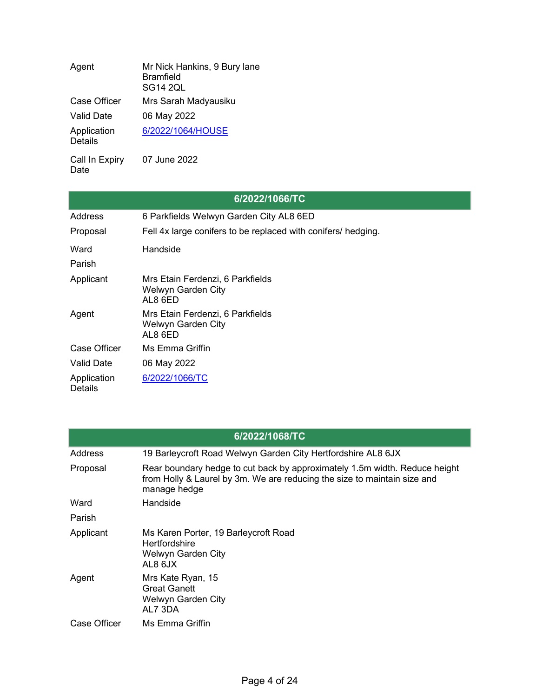| Agent                         | Mr Nick Hankins, 9 Bury lane<br><b>Bramfield</b><br><b>SG14 2QL</b> |
|-------------------------------|---------------------------------------------------------------------|
| <b>Case Officer</b>           | Mrs Sarah Madyausiku                                                |
| Valid Date                    | 06 May 2022                                                         |
| Application<br><b>Details</b> | 6/2022/1064/HOUSE                                                   |
| Call In Expiry                | 07 June 2022                                                        |

|                               | 6/2022/1066/TC                                                    |
|-------------------------------|-------------------------------------------------------------------|
| Address                       | 6 Parkfields Welwyn Garden City AL8 6ED                           |
| Proposal                      | Fell 4x large conifers to be replaced with conifers/ hedging.     |
| Ward                          | Handside                                                          |
| Parish                        |                                                                   |
| Applicant                     | Mrs Etain Ferdenzi, 6 Parkfields<br>Welwyn Garden City<br>AL8 6ED |
| Agent                         | Mrs Etain Ferdenzi, 6 Parkfields<br>Welwyn Garden City<br>AL8 6ED |
| Case Officer                  | Ms Emma Griffin                                                   |
| Valid Date                    | 06 May 2022                                                       |
| Application<br><b>Details</b> | 6/2022/1066/TC                                                    |

| 6/2022/1068/TC |                                                                                                                                                                        |  |
|----------------|------------------------------------------------------------------------------------------------------------------------------------------------------------------------|--|
| Address        | 19 Barleycroft Road Welwyn Garden City Hertfordshire AL8 6JX                                                                                                           |  |
| Proposal       | Rear boundary hedge to cut back by approximately 1.5m width. Reduce height<br>from Holly & Laurel by 3m. We are reducing the size to maintain size and<br>manage hedge |  |
| Ward           | Handside                                                                                                                                                               |  |
| Parish         |                                                                                                                                                                        |  |
| Applicant      | Ms Karen Porter, 19 Barleycroft Road<br><b>Hertfordshire</b><br>Welwyn Garden City<br>AL8 6JX                                                                          |  |
| Agent          | Mrs Kate Ryan, 15<br><b>Great Ganett</b><br>Welwyn Garden City<br>AL7 3DA                                                                                              |  |
| Case Officer   | Ms Emma Griffin                                                                                                                                                        |  |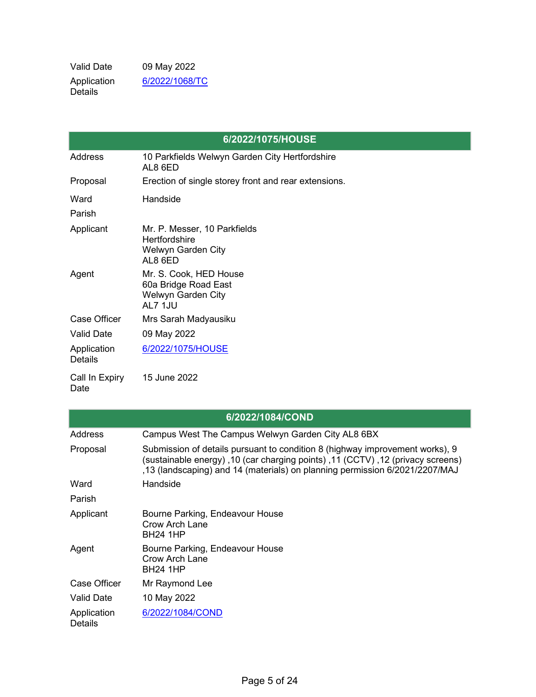Valid Date 09 May 2022 Application Details [6/2022/1068/TC](https://planning.welhat.gov.uk/planning/display/6/2022/1068/TC)

|                               | 6/2022/1075/HOUSE                                                                     |
|-------------------------------|---------------------------------------------------------------------------------------|
| <b>Address</b>                | 10 Parkfields Welwyn Garden City Hertfordshire<br>AL8 6ED                             |
| Proposal                      | Erection of single storey front and rear extensions.                                  |
| Ward                          | Handside                                                                              |
| Parish                        |                                                                                       |
| Applicant                     | Mr. P. Messer, 10 Parkfields<br><b>Hertfordshire</b><br>Welwyn Garden City<br>AL8 6ED |
| Agent                         | Mr. S. Cook, HED House<br>60a Bridge Road East<br>Welwyn Garden City<br>AL7 1JU       |
| Case Officer                  | Mrs Sarah Madyausiku                                                                  |
| <b>Valid Date</b>             | 09 May 2022                                                                           |
| Application<br><b>Details</b> | 6/2022/1075/HOUSE                                                                     |
| Call In Expiry<br>Date        | 15 June 2022                                                                          |

|                               | 6/2022/1084/COND                                                                                                                                                                                                                              |
|-------------------------------|-----------------------------------------------------------------------------------------------------------------------------------------------------------------------------------------------------------------------------------------------|
| Address                       | Campus West The Campus Welwyn Garden City AL8 6BX                                                                                                                                                                                             |
| Proposal                      | Submission of details pursuant to condition 8 (highway improvement works), 9<br>(sustainable energy), 10 (car charging points), 11 (CCTV), 12 (privacy screens)<br>13 (landscaping) and 14 (materials) on planning permission 6/2021/2207/MAJ |
| Ward                          | Handside                                                                                                                                                                                                                                      |
| Parish                        |                                                                                                                                                                                                                                               |
| Applicant                     | Bourne Parking, Endeavour House<br>Crow Arch Lane<br><b>BH24 1HP</b>                                                                                                                                                                          |
| Agent                         | Bourne Parking, Endeavour House<br>Crow Arch Lane<br><b>BH24 1HP</b>                                                                                                                                                                          |
| Case Officer                  | Mr Raymond Lee                                                                                                                                                                                                                                |
| Valid Date                    | 10 May 2022                                                                                                                                                                                                                                   |
| Application<br><b>Details</b> | 6/2022/1084/COND                                                                                                                                                                                                                              |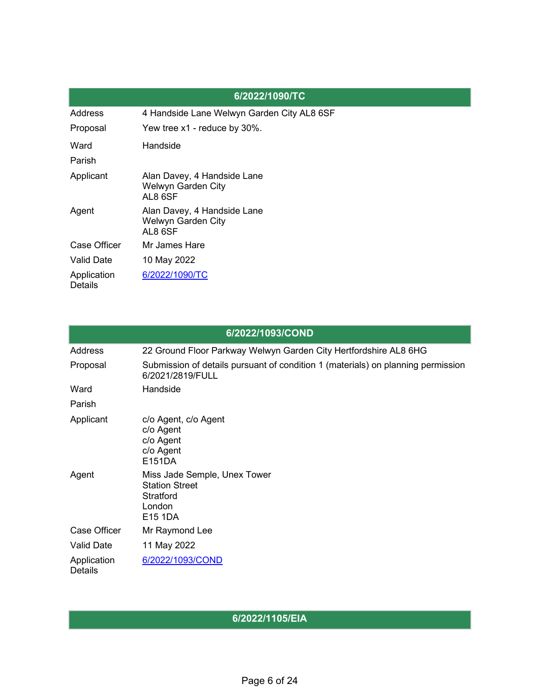|                               | 6/2022/1090/TC                                               |
|-------------------------------|--------------------------------------------------------------|
| <b>Address</b>                | 4 Handside Lane Welwyn Garden City AL8 6SF                   |
| Proposal                      | Yew tree x1 - reduce by 30%.                                 |
| Ward                          | Handside                                                     |
| Parish                        |                                                              |
| Applicant                     | Alan Davey, 4 Handside Lane<br>Welwyn Garden City<br>AL8 6SF |
| Agent                         | Alan Davey, 4 Handside Lane<br>Welwyn Garden City<br>AL8 6SF |
| <b>Case Officer</b>           | Mr James Hare                                                |
| <b>Valid Date</b>             | 10 May 2022                                                  |
| Application<br><b>Details</b> | 6/2022/1090/TC                                               |

|                               | 6/2022/1093/COND                                                                                     |
|-------------------------------|------------------------------------------------------------------------------------------------------|
| Address                       | 22 Ground Floor Parkway Welwyn Garden City Hertfordshire AL8 6HG                                     |
| Proposal                      | Submission of details pursuant of condition 1 (materials) on planning permission<br>6/2021/2819/FULL |
| Ward                          | Handside                                                                                             |
| Parish                        |                                                                                                      |
| Applicant                     | c/o Agent, c/o Agent<br>c/o Agent<br>c/o Agent<br>c/o Agent<br>E151DA                                |
| Agent                         | Miss Jade Semple, Unex Tower<br><b>Station Street</b><br><b>Stratford</b><br>London<br>E15 1DA       |
| Case Officer                  | Mr Raymond Lee                                                                                       |
| <b>Valid Date</b>             | 11 May 2022                                                                                          |
| Application<br><b>Details</b> | 6/2022/1093/COND                                                                                     |

#### **6/2022/1105/EIA**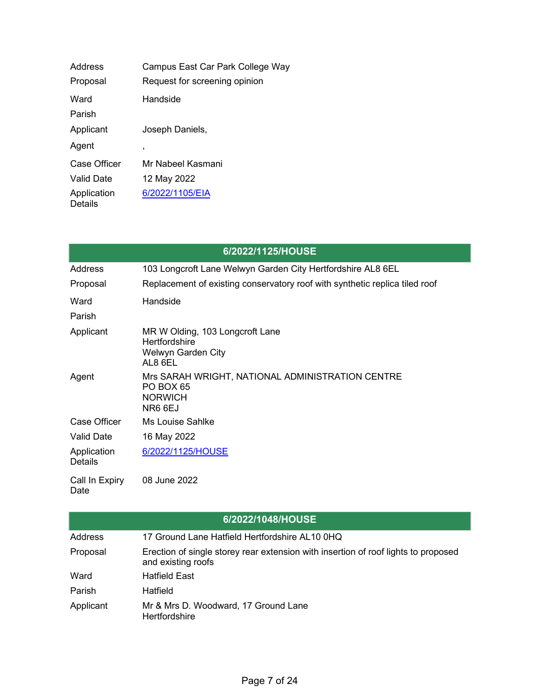| Address                       | Campus East Car Park College Way |
|-------------------------------|----------------------------------|
| Proposal                      | Request for screening opinion    |
| Ward                          | Handside                         |
| Parish                        |                                  |
| Applicant                     | Joseph Daniels,                  |
| Agent                         | $\overline{\phantom{a}}$         |
| <b>Case Officer</b>           | Mr Nabeel Kasmani                |
| <b>Valid Date</b>             | 12 May 2022                      |
| Application<br><b>Details</b> | 6/2022/1105/EIA                  |

| 6/2022/1125/HOUSE      |                                                                                                   |  |
|------------------------|---------------------------------------------------------------------------------------------------|--|
| Address                | 103 Longcroft Lane Welwyn Garden City Hertfordshire AL8 6EL                                       |  |
| Proposal               | Replacement of existing conservatory roof with synthetic replica tiled roof                       |  |
| Ward                   | Handside                                                                                          |  |
| Parish                 |                                                                                                   |  |
| Applicant              | MR W Olding, 103 Longcroft Lane<br><b>Hertfordshire</b><br>Welwyn Garden City<br>AL8 6EL          |  |
| Agent                  | Mrs SARAH WRIGHT, NATIONAL ADMINISTRATION CENTRE<br><b>PO BOX 65</b><br><b>NORWICH</b><br>NR6 6EJ |  |
| Case Officer           | <b>Ms Louise Sahlke</b>                                                                           |  |
| <b>Valid Date</b>      | 16 May 2022                                                                                       |  |
| Application<br>Details | 6/2022/1125/HOUSE                                                                                 |  |
| Call In Expiry<br>Date | 08 June 2022                                                                                      |  |

|           | 6/2022/1048/HOUSE                                                                                        |
|-----------|----------------------------------------------------------------------------------------------------------|
| Address   | 17 Ground Lane Hatfield Hertfordshire AL10 0HQ                                                           |
| Proposal  | Erection of single storey rear extension with insertion of roof lights to proposed<br>and existing roofs |
| Ward      | <b>Hatfield East</b>                                                                                     |
| Parish    | Hatfield                                                                                                 |
| Applicant | Mr & Mrs D. Woodward, 17 Ground Lane<br><b>Hertfordshire</b>                                             |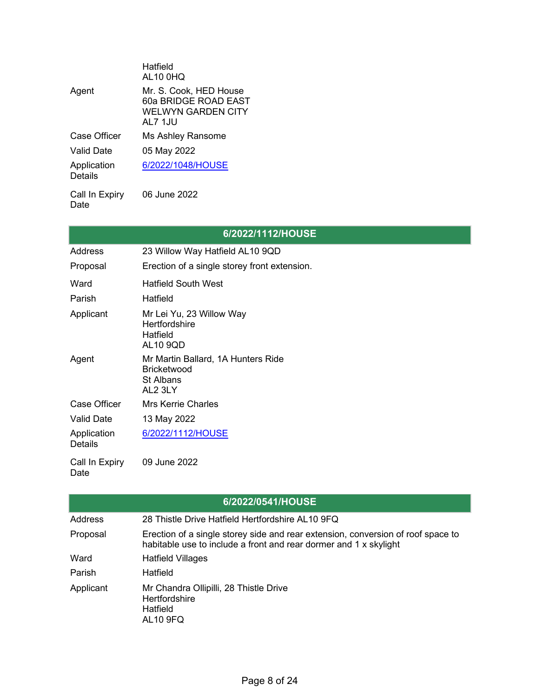|                               | Hatfield<br><b>AL10 0HQ</b>                                                            |
|-------------------------------|----------------------------------------------------------------------------------------|
| Agent                         | Mr. S. Cook, HED House<br>60a BRIDGE ROAD EAST<br><b>WELWYN GARDEN CITY</b><br>AL7 1JU |
| Case Officer                  | Ms Ashley Ransome                                                                      |
| <b>Valid Date</b>             | 05 May 2022                                                                            |
| Application<br><b>Details</b> | 6/2022/1048/HOUSE                                                                      |
| Call In Expiry                | 06 June 2022                                                                           |

Date

# **6/2022/1112/HOUSE**

| Address                | 23 Willow Way Hatfield AL10 9QD                                                  |
|------------------------|----------------------------------------------------------------------------------|
| Proposal               | Erection of a single storey front extension.                                     |
| Ward                   | <b>Hatfield South West</b>                                                       |
| Parish                 | Hatfield                                                                         |
| Applicant              | Mr Lei Yu, 23 Willow Way<br>Hertfordshire<br>Hatfield<br><b>AL10 9QD</b>         |
| Agent                  | Mr Martin Ballard, 1A Hunters Ride<br><b>Bricketwood</b><br>St Albans<br>AL2 3LY |
| Case Officer           | <b>Mrs Kerrie Charles</b>                                                        |
| <b>Valid Date</b>      | 13 May 2022                                                                      |
| Application<br>Details | 6/2022/1112/HOUSE                                                                |
| Call In Expiry         | 09 June 2022                                                                     |

|                | 6/2022/0541/HOUSE                                                                                                                                     |
|----------------|-------------------------------------------------------------------------------------------------------------------------------------------------------|
| <b>Address</b> | 28 Thistle Drive Hatfield Hertfordshire AL10 9FQ                                                                                                      |
| Proposal       | Erection of a single storey side and rear extension, conversion of roof space to<br>habitable use to include a front and rear dormer and 1 x skylight |
| Ward           | <b>Hatfield Villages</b>                                                                                                                              |
| Parish         | Hatfield                                                                                                                                              |
| Applicant      | Mr Chandra Ollipilli, 28 Thistle Drive<br><b>Hertfordshire</b><br>Hatfield<br><b>AL10 9FQ</b>                                                         |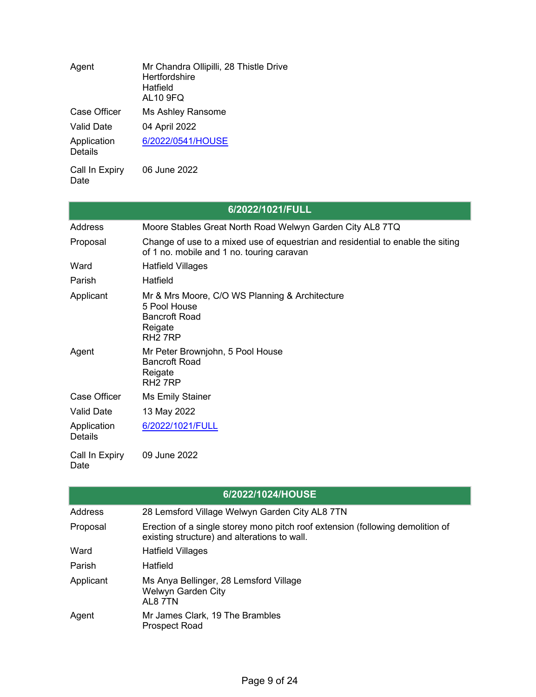| Agent                         | Mr Chandra Ollipilli, 28 Thistle Drive<br>Hertfordshire<br>Hatfield<br><b>AL10 9FQ</b> |
|-------------------------------|----------------------------------------------------------------------------------------|
| <b>Case Officer</b>           | Ms Ashley Ransome                                                                      |
| <b>Valid Date</b>             | 04 April 2022                                                                          |
| Application<br><b>Details</b> | 6/2022/0541/HOUSE                                                                      |
| Call In Expiry                | 06 June 2022                                                                           |

|                               | 6/2022/1021/FULL                                                                                                             |
|-------------------------------|------------------------------------------------------------------------------------------------------------------------------|
| Address                       | Moore Stables Great North Road Welwyn Garden City AL8 7TQ                                                                    |
| Proposal                      | Change of use to a mixed use of equestrian and residential to enable the siting<br>of 1 no. mobile and 1 no. touring caravan |
| Ward                          | <b>Hatfield Villages</b>                                                                                                     |
| Parish                        | Hatfield                                                                                                                     |
| Applicant                     | Mr & Mrs Moore, C/O WS Planning & Architecture<br>5 Pool House<br><b>Bancroft Road</b><br>Reigate<br>RH <sub>2</sub> 7RP     |
| Agent                         | Mr Peter Brownjohn, 5 Pool House<br><b>Bancroft Road</b><br>Reigate<br>RH <sub>2</sub> 7RP                                   |
| Case Officer                  | <b>Ms Emily Stainer</b>                                                                                                      |
| <b>Valid Date</b>             | 13 May 2022                                                                                                                  |
| Application<br><b>Details</b> | 6/2022/1021/FULL                                                                                                             |
| Call In Expiry<br>Date        | 09 June 2022                                                                                                                 |

|           | 6/2022/1024/HOUSE                                                                                                              |
|-----------|--------------------------------------------------------------------------------------------------------------------------------|
| Address   | 28 Lemsford Village Welwyn Garden City AL8 7TN                                                                                 |
| Proposal  | Erection of a single storey mono pitch roof extension (following demolition of<br>existing structure) and alterations to wall. |
| Ward      | <b>Hatfield Villages</b>                                                                                                       |
| Parish    | Hatfield                                                                                                                       |
| Applicant | Ms Anya Bellinger, 28 Lemsford Village<br>Welwyn Garden City<br>AL8 7TN                                                        |
| Agent     | Mr James Clark, 19 The Brambles<br><b>Prospect Road</b>                                                                        |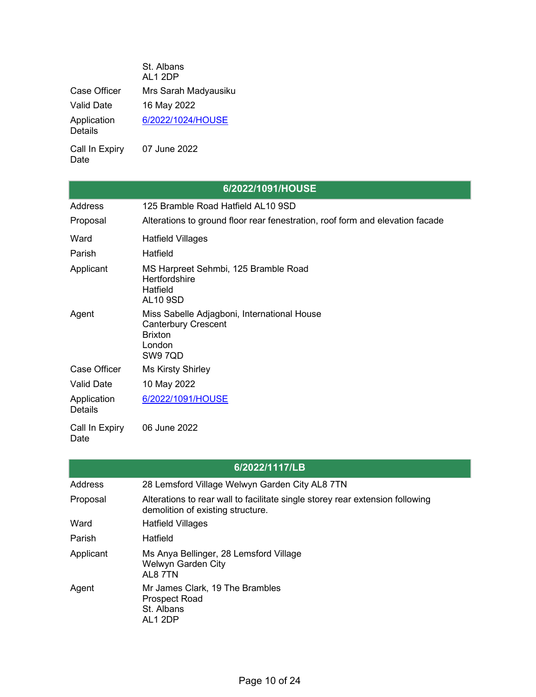|                               | St. Albans<br>AL1 2DP |
|-------------------------------|-----------------------|
| Case Officer                  | Mrs Sarah Madyausiku  |
| <b>Valid Date</b>             | 16 May 2022           |
| Application<br><b>Details</b> | 6/2022/1024/HOUSE     |

Call In Expiry Date 07 June 2022

Date

|                               | 6/2022/1091/HOUSE                                                                                                |
|-------------------------------|------------------------------------------------------------------------------------------------------------------|
| <b>Address</b>                | 125 Bramble Road Hatfield AL10 9SD                                                                               |
| Proposal                      | Alterations to ground floor rear fenestration, roof form and elevation facade                                    |
| Ward                          | <b>Hatfield Villages</b>                                                                                         |
| Parish                        | Hatfield                                                                                                         |
| Applicant                     | MS Harpreet Sehmbi, 125 Bramble Road<br><b>Hertfordshire</b><br>Hatfield<br><b>AL10 9SD</b>                      |
| Agent                         | Miss Sabelle Adjagboni, International House<br><b>Canterbury Crescent</b><br><b>Brixton</b><br>London<br>SW9 7QD |
| <b>Case Officer</b>           | <b>Ms Kirsty Shirley</b>                                                                                         |
| <b>Valid Date</b>             | 10 May 2022                                                                                                      |
| Application<br><b>Details</b> | 6/2022/1091/HOUSE                                                                                                |
| Call In Expiry                | 06 June 2022                                                                                                     |

### **6/2022/1117/LB**

| Address   | 28 Lemsford Village Welwyn Garden City AL8 7TN                                                                     |
|-----------|--------------------------------------------------------------------------------------------------------------------|
| Proposal  | Alterations to rear wall to facilitate single storey rear extension following<br>demolition of existing structure. |
| Ward      | <b>Hatfield Villages</b>                                                                                           |
| Parish    | Hatfield                                                                                                           |
| Applicant | Ms Anya Bellinger, 28 Lemsford Village<br>Welwyn Garden City<br>AL8 7TN                                            |
| Agent     | Mr James Clark, 19 The Brambles<br><b>Prospect Road</b><br>St. Albans<br>AL1 2DP                                   |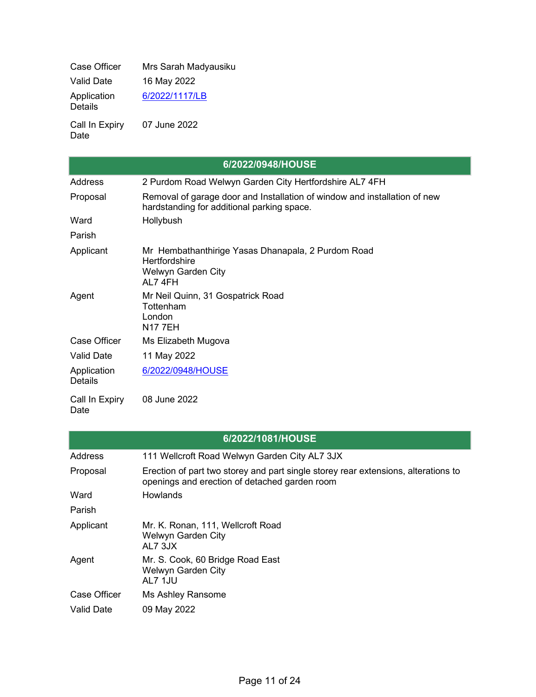Case Officer Mrs Sarah Madyausiku Valid Date 16 May 2022 Application Details [6/2022/1117/LB](https://planning.welhat.gov.uk/planning/display/6/2022/1117/LB) 07 June 2022

Call In Expiry Date

|                               | 6/2022/0948/HOUSE                                                                                                       |
|-------------------------------|-------------------------------------------------------------------------------------------------------------------------|
| Address                       | 2 Purdom Road Welwyn Garden City Hertfordshire AL7 4FH                                                                  |
| Proposal                      | Removal of garage door and Installation of window and installation of new<br>hardstanding for additional parking space. |
| Ward                          | Hollybush                                                                                                               |
| Parish                        |                                                                                                                         |
| Applicant                     | Mr Hembathanthirige Yasas Dhanapala, 2 Purdom Road<br><b>Hertfordshire</b><br>Welwyn Garden City<br>AL7 4FH             |
| Agent                         | Mr Neil Quinn, 31 Gospatrick Road<br>Tottenham<br>London<br><b>N17 7EH</b>                                              |
| Case Officer                  | Ms Elizabeth Mugova                                                                                                     |
| <b>Valid Date</b>             | 11 May 2022                                                                                                             |
| Application<br><b>Details</b> | 6/2022/0948/HOUSE                                                                                                       |

Call In Expiry Date 08 June 2022

# **6/2022/1081/HOUSE**

| <b>Address</b>    | 111 Wellcroft Road Welwyn Garden City AL7 3JX                                                                                       |
|-------------------|-------------------------------------------------------------------------------------------------------------------------------------|
| Proposal          | Erection of part two storey and part single storey rear extensions, alterations to<br>openings and erection of detached garden room |
| Ward              | Howlands                                                                                                                            |
| Parish            |                                                                                                                                     |
| Applicant         | Mr. K. Ronan, 111, Wellcroft Road<br>Welwyn Garden City<br>AL7 3JX                                                                  |
| Agent             | Mr. S. Cook, 60 Bridge Road East<br>Welwyn Garden City<br>AL7 1JU                                                                   |
| Case Officer      | Ms Ashley Ransome                                                                                                                   |
| <b>Valid Date</b> | 09 May 2022                                                                                                                         |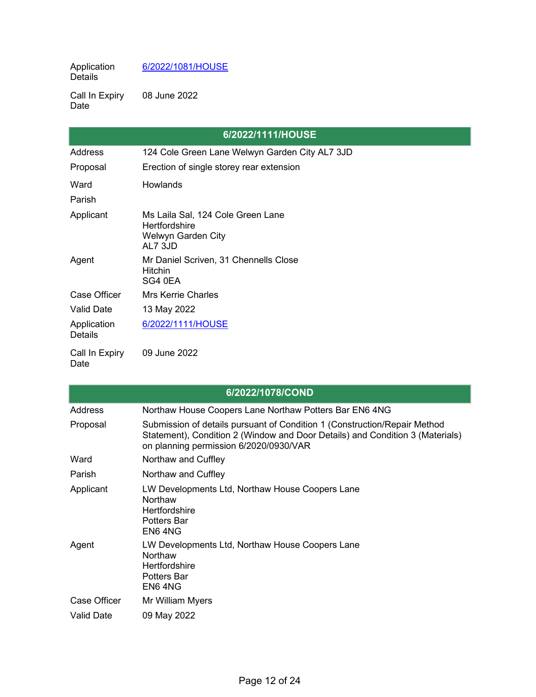Application Details [6/2022/1081/HOUSE](https://planning.welhat.gov.uk/planning/display/6/2022/1081/HOUSE)

Call In Expiry Date 08 June 2022

|                               | 6/2022/1111/HOUSE                                                                          |
|-------------------------------|--------------------------------------------------------------------------------------------|
| <b>Address</b>                | 124 Cole Green Lane Welwyn Garden City AL7 3JD                                             |
| Proposal                      | Erection of single storey rear extension                                                   |
| Ward                          | <b>Howlands</b>                                                                            |
| Parish                        |                                                                                            |
| Applicant                     | Ms Laila Sal, 124 Cole Green Lane<br><b>Hertfordshire</b><br>Welwyn Garden City<br>AL7 3JD |
| Agent                         | Mr Daniel Scriven, 31 Chennells Close<br><b>Hitchin</b><br>SG4 0EA                         |
| Case Officer                  | <b>Mrs Kerrie Charles</b>                                                                  |
| <b>Valid Date</b>             | 13 May 2022                                                                                |
| Application<br><b>Details</b> | 6/2022/1111/HOUSE                                                                          |
| Call In Expiry<br>Date        | 09 June 2022                                                                               |

| 6/2022/1078/COND  |                                                                                                                                                                                                      |  |
|-------------------|------------------------------------------------------------------------------------------------------------------------------------------------------------------------------------------------------|--|
| Address           | Northaw House Coopers Lane Northaw Potters Bar EN6 4NG                                                                                                                                               |  |
| Proposal          | Submission of details pursuant of Condition 1 (Construction/Repair Method<br>Statement), Condition 2 (Window and Door Details) and Condition 3 (Materials)<br>on planning permission 6/2020/0930/VAR |  |
| Ward              | Northaw and Cuffley                                                                                                                                                                                  |  |
| Parish            | Northaw and Cuffley                                                                                                                                                                                  |  |
| Applicant         | LW Developments Ltd, Northaw House Coopers Lane<br>Northaw<br>Hertfordshire<br><b>Potters Bar</b><br>EN6 4NG                                                                                         |  |
| Agent             | LW Developments Ltd, Northaw House Coopers Lane<br><b>Northaw</b><br>Hertfordshire<br><b>Potters Bar</b><br>EN6 4NG                                                                                  |  |
| Case Officer      | Mr William Myers                                                                                                                                                                                     |  |
| <b>Valid Date</b> | 09 May 2022                                                                                                                                                                                          |  |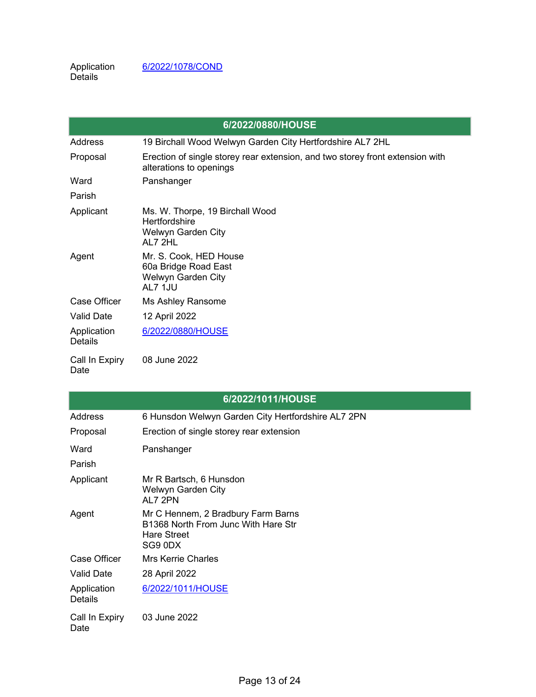|                        | 6/2022/0880/HOUSE                                                                                        |
|------------------------|----------------------------------------------------------------------------------------------------------|
| Address                | 19 Birchall Wood Welwyn Garden City Hertfordshire AL7 2HL                                                |
| Proposal               | Erection of single storey rear extension, and two storey front extension with<br>alterations to openings |
| Ward                   | Panshanger                                                                                               |
| Parish                 |                                                                                                          |
| Applicant              | Ms. W. Thorpe, 19 Birchall Wood<br><b>Hertfordshire</b><br>Welwyn Garden City<br>AL7 2HL                 |
| Agent                  | Mr. S. Cook, HED House<br>60a Bridge Road East<br>Welwyn Garden City<br>AL7 1JU                          |
| Case Officer           | Ms Ashley Ransome                                                                                        |
| <b>Valid Date</b>      | 12 April 2022                                                                                            |
| Application<br>Details | 6/2022/0880/HOUSE                                                                                        |
| Call In Expiry<br>Date | 08 June 2022                                                                                             |

| 6/2022/1011/HOUSE             |                                                                                                            |
|-------------------------------|------------------------------------------------------------------------------------------------------------|
| Address                       | 6 Hunsdon Welwyn Garden City Hertfordshire AL7 2PN                                                         |
| Proposal                      | Erection of single storey rear extension                                                                   |
| Ward                          | Panshanger                                                                                                 |
| Parish                        |                                                                                                            |
| Applicant                     | Mr R Bartsch, 6 Hunsdon<br>Welwyn Garden City<br>AL7 2PN                                                   |
| Agent                         | Mr C Hennem, 2 Bradbury Farm Barns<br>B1368 North From Junc With Hare Str<br><b>Hare Street</b><br>SG9 0DX |
| Case Officer                  | <b>Mrs Kerrie Charles</b>                                                                                  |
| <b>Valid Date</b>             | 28 April 2022                                                                                              |
| Application<br><b>Details</b> | 6/2022/1011/HOUSE                                                                                          |
| Call In Expiry<br>Date        | 03 June 2022                                                                                               |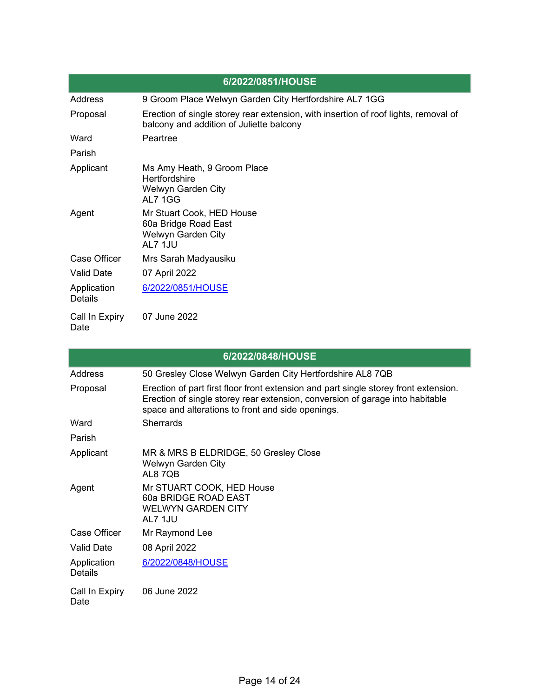|                               | 6/2022/0851/HOUSE                                                                                                               |
|-------------------------------|---------------------------------------------------------------------------------------------------------------------------------|
| <b>Address</b>                | 9 Groom Place Welwyn Garden City Hertfordshire AL7 1GG                                                                          |
| Proposal                      | Erection of single storey rear extension, with insertion of roof lights, removal of<br>balcony and addition of Juliette balcony |
| Ward                          | Peartree                                                                                                                        |
| Parish                        |                                                                                                                                 |
| Applicant                     | Ms Amy Heath, 9 Groom Place<br><b>Hertfordshire</b><br>Welwyn Garden City<br>AI 7 1 G G                                         |
| Agent                         | Mr Stuart Cook, HED House<br>60a Bridge Road East<br>Welwyn Garden City<br>AL7 1JU                                              |
| Case Officer                  | Mrs Sarah Madyausiku                                                                                                            |
| <b>Valid Date</b>             | 07 April 2022                                                                                                                   |
| Application<br><b>Details</b> | 6/2022/0851/HOUSE                                                                                                               |
| Call In Expiry<br>Date        | 07 June 2022                                                                                                                    |

|                               | 6/2022/0848/HOUSE                                                                                                                                                                                                          |
|-------------------------------|----------------------------------------------------------------------------------------------------------------------------------------------------------------------------------------------------------------------------|
| Address                       | 50 Gresley Close Welwyn Garden City Hertfordshire AL8 7QB                                                                                                                                                                  |
| Proposal                      | Erection of part first floor front extension and part single storey front extension.<br>Erection of single storey rear extension, conversion of garage into habitable<br>space and alterations to front and side openings. |
| Ward                          | <b>Sherrards</b>                                                                                                                                                                                                           |
| Parish                        |                                                                                                                                                                                                                            |
| Applicant                     | MR & MRS B ELDRIDGE, 50 Gresley Close<br>Welwyn Garden City<br>AL87QB                                                                                                                                                      |
| Agent                         | Mr STUART COOK, HED House<br>60a BRIDGE ROAD EAST<br><b>WELWYN GARDEN CITY</b><br>AL7 1JU                                                                                                                                  |
| Case Officer                  | Mr Raymond Lee                                                                                                                                                                                                             |
| <b>Valid Date</b>             | 08 April 2022                                                                                                                                                                                                              |
| Application<br><b>Details</b> | 6/2022/0848/HOUSE                                                                                                                                                                                                          |
| Call In Expiry<br>Date        | 06 June 2022                                                                                                                                                                                                               |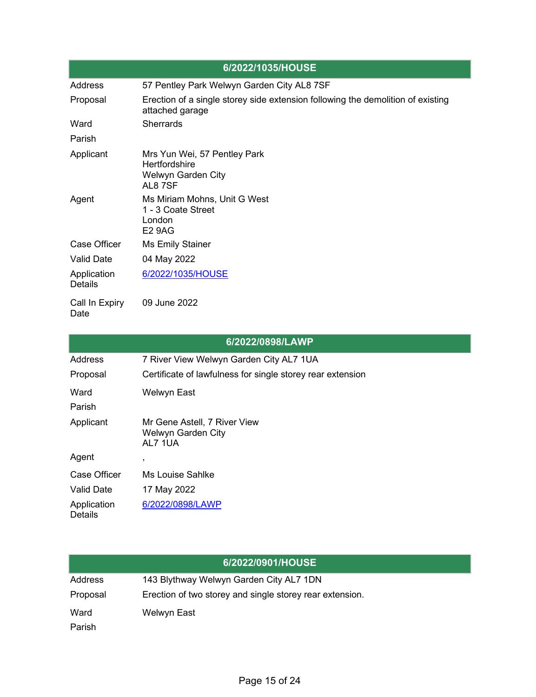|                               | 6/2022/1035/HOUSE                                                                                  |
|-------------------------------|----------------------------------------------------------------------------------------------------|
| Address                       | 57 Pentley Park Welwyn Garden City AL8 7SF                                                         |
| Proposal                      | Erection of a single storey side extension following the demolition of existing<br>attached garage |
| Ward                          | <b>Sherrards</b>                                                                                   |
| Parish                        |                                                                                                    |
| Applicant                     | Mrs Yun Wei, 57 Pentley Park<br><b>Hertfordshire</b><br>Welwyn Garden City<br>AL87SF               |
| Agent                         | Ms Miriam Mohns, Unit G West<br>1 - 3 Coate Street<br>London<br><b>E2 9AG</b>                      |
| <b>Case Officer</b>           | <b>Ms Emily Stainer</b>                                                                            |
| <b>Valid Date</b>             | 04 May 2022                                                                                        |
| Application<br><b>Details</b> | 6/2022/1035/HOUSE                                                                                  |
| Call In Expiry<br>Date        | 09 June 2022                                                                                       |

|                        | 6/2022/0898/LAWP                                              |
|------------------------|---------------------------------------------------------------|
| Address                | 7 River View Welwyn Garden City AL7 1UA                       |
| Proposal               | Certificate of lawfulness for single storey rear extension    |
| Ward                   | Welwyn East                                                   |
| Parish                 |                                                               |
| Applicant              | Mr Gene Astell, 7 River View<br>Welwyn Garden City<br>AL7 1UA |
| Agent                  | ,                                                             |
| Case Officer           | Ms Louise Sahlke                                              |
| <b>Valid Date</b>      | 17 May 2022                                                   |
| Application<br>Details | 6/2022/0898/LAWP                                              |

|          | 6/2022/0901/HOUSE                                        |
|----------|----------------------------------------------------------|
| Address  | 143 Blythway Welwyn Garden City AL7 1DN                  |
| Proposal | Erection of two storey and single storey rear extension. |
| Ward     | Welwyn East                                              |
| Parish   |                                                          |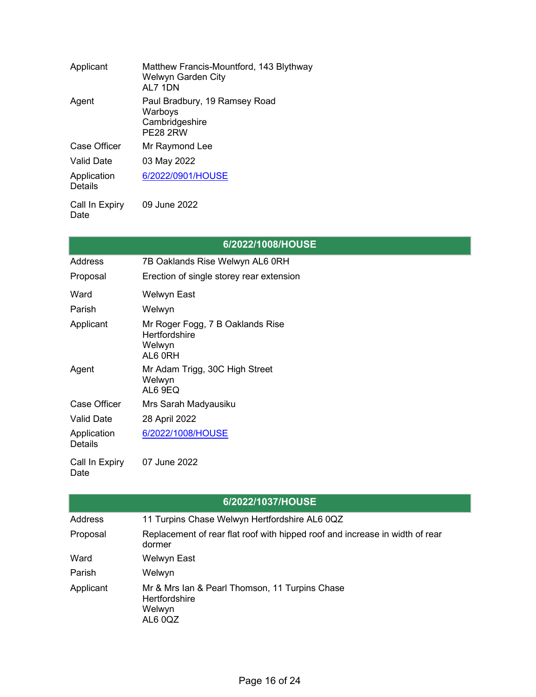| Applicant              | Matthew Francis-Mountford, 143 Blythway<br>Welwyn Garden City<br>AL7 1DN      |
|------------------------|-------------------------------------------------------------------------------|
| Agent                  | Paul Bradbury, 19 Ramsey Road<br>Warboys<br>Cambridgeshire<br><b>PE28 2RW</b> |
| Case Officer           | Mr Raymond Lee                                                                |
| <b>Valid Date</b>      | 03 May 2022                                                                   |
| Application<br>Details | 6/2022/0901/HOUSE                                                             |
| Call In Expiry         | 09 June 2022                                                                  |

**6/2022/1008/HOUSE** Address 7B Oaklands Rise Welwyn AL6 0RH Proposal Erection of single storey rear extension Ward Welwyn East Parish Welwyn Applicant Mr Roger Fogg, 7 B Oaklands Rise **Hertfordshire** Welwyn AL6 0RH Agent Mr Adam Trigg, 30C High Street Welwyn AL6 9EQ Case Officer Mrs Sarah Madyausiku Valid Date 28 April 2022 Application Details [6/2022/1008/HOUSE](https://planning.welhat.gov.uk/planning/display/6/2022/1008/HOUSE) Call In Expiry Date 07 June 2022

|           | 6/2022/1037/HOUSE                                                                           |
|-----------|---------------------------------------------------------------------------------------------|
| Address   | 11 Turpins Chase Welwyn Hertfordshire AL6 0QZ                                               |
| Proposal  | Replacement of rear flat roof with hipped roof and increase in width of rear<br>dormer      |
| Ward      | Welwyn East                                                                                 |
| Parish    | Welwyn                                                                                      |
| Applicant | Mr & Mrs Ian & Pearl Thomson, 11 Turpins Chase<br><b>Hertfordshire</b><br>Welwyn<br>AL6 0QZ |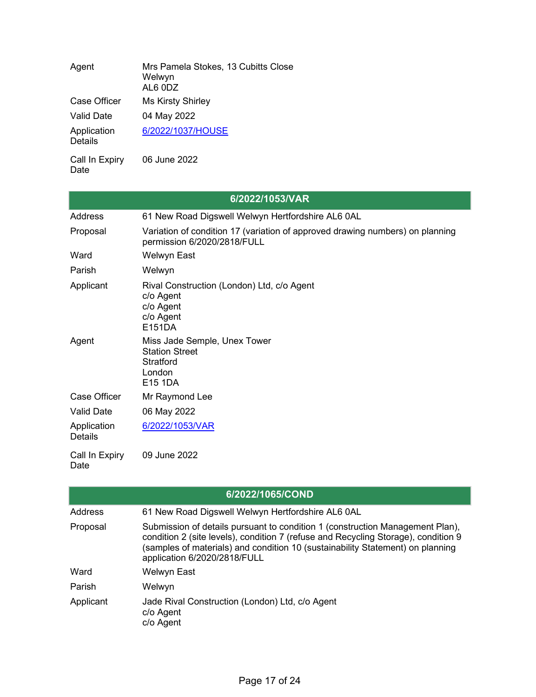| Agent                         | Mrs Pamela Stokes, 13 Cubitts Close<br>Welwyn<br>AL6 0DZ |
|-------------------------------|----------------------------------------------------------|
| <b>Case Officer</b>           | <b>Ms Kirsty Shirley</b>                                 |
| <b>Valid Date</b>             | 04 May 2022                                              |
| Application<br><b>Details</b> | 6/2022/1037/HOUSE                                        |
| Call In Expiry                | 06 June 2022                                             |

|                        | 6/2022/1053/VAR                                                                                              |
|------------------------|--------------------------------------------------------------------------------------------------------------|
| Address                | 61 New Road Digswell Welwyn Hertfordshire AL6 0AL                                                            |
| Proposal               | Variation of condition 17 (variation of approved drawing numbers) on planning<br>permission 6/2020/2818/FULL |
| Ward                   | Welwyn East                                                                                                  |
| Parish                 | Welwyn                                                                                                       |
| Applicant              | Rival Construction (London) Ltd, c/o Agent<br>c/o Agent<br>c/o Agent<br>c/o Agent<br>E151DA                  |
| Agent                  | Miss Jade Semple, Unex Tower<br><b>Station Street</b><br><b>Stratford</b><br>London<br>E15 1DA               |
| Case Officer           | Mr Raymond Lee                                                                                               |
| <b>Valid Date</b>      | 06 May 2022                                                                                                  |
| Application<br>Details | 6/2022/1053/VAR                                                                                              |
| Call In Expiry<br>Date | 09 June 2022                                                                                                 |

|                | 6/2022/1065/COND                                                                                                                                                                                                                                                                      |
|----------------|---------------------------------------------------------------------------------------------------------------------------------------------------------------------------------------------------------------------------------------------------------------------------------------|
| <b>Address</b> | 61 New Road Digswell Welwyn Hertfordshire AL6 0AL                                                                                                                                                                                                                                     |
| Proposal       | Submission of details pursuant to condition 1 (construction Management Plan),<br>condition 2 (site levels), condition 7 (refuse and Recycling Storage), condition 9<br>(samples of materials) and condition 10 (sustainability Statement) on planning<br>application 6/2020/2818/FULL |
| Ward           | <b>Welwyn East</b>                                                                                                                                                                                                                                                                    |
| Parish         | Welwyn                                                                                                                                                                                                                                                                                |
| Applicant      | Jade Rival Construction (London) Ltd, c/o Agent<br>c/o Agent<br>c/o Agent                                                                                                                                                                                                             |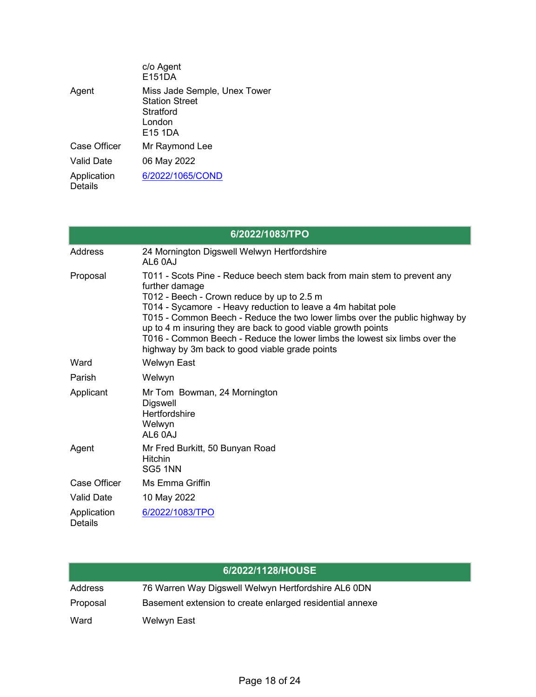|                               | c/o Agent<br>E151DA                                                                      |
|-------------------------------|------------------------------------------------------------------------------------------|
| Agent                         | Miss Jade Semple, Unex Tower<br><b>Station Street</b><br>Stratford<br>I ondon<br>E15 1DA |
| Case Officer                  | Mr Raymond Lee                                                                           |
| Valid Date                    | 06 May 2022                                                                              |
| Application<br><b>Details</b> | 6/2022/1065/COND                                                                         |

| 6/2022/1083/TPO               |                                                                                                                                                                                                                                                                                                                                                                                                                                                                                          |  |
|-------------------------------|------------------------------------------------------------------------------------------------------------------------------------------------------------------------------------------------------------------------------------------------------------------------------------------------------------------------------------------------------------------------------------------------------------------------------------------------------------------------------------------|--|
| Address                       | 24 Mornington Digswell Welwyn Hertfordshire<br>AL6 0AJ                                                                                                                                                                                                                                                                                                                                                                                                                                   |  |
| Proposal                      | T011 - Scots Pine - Reduce beech stem back from main stem to prevent any<br>further damage<br>T012 - Beech - Crown reduce by up to 2.5 m<br>T014 - Sycamore - Heavy reduction to leave a 4m habitat pole<br>T015 - Common Beech - Reduce the two lower limbs over the public highway by<br>up to 4 m insuring they are back to good viable growth points<br>T016 - Common Beech - Reduce the lower limbs the lowest six limbs over the<br>highway by 3m back to good viable grade points |  |
| Ward                          | <b>Welwyn East</b>                                                                                                                                                                                                                                                                                                                                                                                                                                                                       |  |
| Parish                        | Welwyn                                                                                                                                                                                                                                                                                                                                                                                                                                                                                   |  |
| Applicant                     | Mr Tom Bowman, 24 Mornington<br><b>Digswell</b><br>Hertfordshire<br>Welwyn<br>AL6 0AJ                                                                                                                                                                                                                                                                                                                                                                                                    |  |
| Agent                         | Mr Fred Burkitt, 50 Bunyan Road<br><b>Hitchin</b><br>SG5 1NN                                                                                                                                                                                                                                                                                                                                                                                                                             |  |
| Case Officer                  | Ms Emma Griffin                                                                                                                                                                                                                                                                                                                                                                                                                                                                          |  |
| <b>Valid Date</b>             | 10 May 2022                                                                                                                                                                                                                                                                                                                                                                                                                                                                              |  |
| Application<br><b>Details</b> | 6/2022/1083/TPO                                                                                                                                                                                                                                                                                                                                                                                                                                                                          |  |

|          | 6/2022/1128/HOUSE                                        |
|----------|----------------------------------------------------------|
| Address  | 76 Warren Way Digswell Welwyn Hertfordshire AL6 0DN      |
| Proposal | Basement extension to create enlarged residential annexe |
| Ward     | Welwyn East                                              |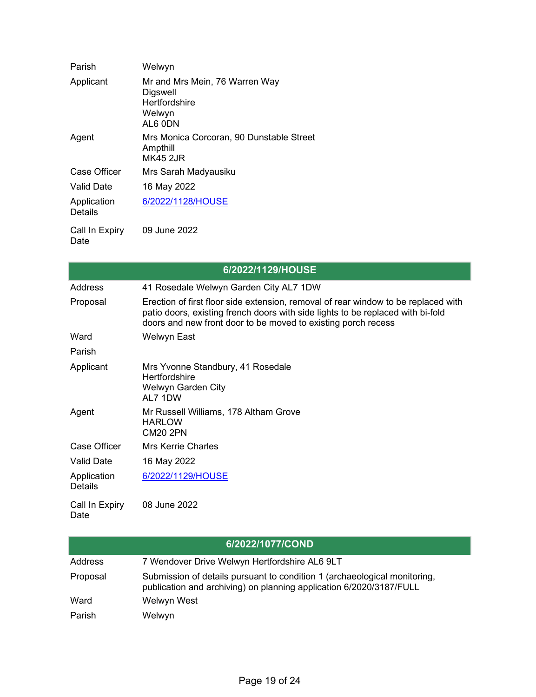| Parish                        | Welwyn                                                                                  |
|-------------------------------|-----------------------------------------------------------------------------------------|
| Applicant                     | Mr and Mrs Mein, 76 Warren Way<br>Digswell<br><b>Hertfordshire</b><br>Welwyn<br>AL6 0DN |
| Agent                         | Mrs Monica Corcoran, 90 Dunstable Street<br>Ampthill<br><b>MK45 2JR</b>                 |
| Case Officer                  | Mrs Sarah Madyausiku                                                                    |
| Valid Date                    | 16 May 2022                                                                             |
| Application<br><b>Details</b> | 6/2022/1128/HOUSE                                                                       |
| Call In Expiry<br>Date        | 09 June 2022                                                                            |

|                               | 6/2022/1129/HOUSE                                                                                                                                                                                                                      |
|-------------------------------|----------------------------------------------------------------------------------------------------------------------------------------------------------------------------------------------------------------------------------------|
| Address                       | 41 Rosedale Welwyn Garden City AL7 1DW                                                                                                                                                                                                 |
| Proposal                      | Erection of first floor side extension, removal of rear window to be replaced with<br>patio doors, existing french doors with side lights to be replaced with bi-fold<br>doors and new front door to be moved to existing porch recess |
| Ward                          | Welwyn East                                                                                                                                                                                                                            |
| Parish                        |                                                                                                                                                                                                                                        |
| Applicant                     | Mrs Yvonne Standbury, 41 Rosedale<br><b>Hertfordshire</b><br>Welwyn Garden City<br>AL7 1DW                                                                                                                                             |
| Agent                         | Mr Russell Williams, 178 Altham Grove<br><b>HARLOW</b><br><b>CM20 2PN</b>                                                                                                                                                              |
| <b>Case Officer</b>           | <b>Mrs Kerrie Charles</b>                                                                                                                                                                                                              |
| <b>Valid Date</b>             | 16 May 2022                                                                                                                                                                                                                            |
| Application<br><b>Details</b> | 6/2022/1129/HOUSE                                                                                                                                                                                                                      |
| Call In Expiry                | 08 June 2022                                                                                                                                                                                                                           |

| 6/2022/1077/COND |                                                                                                                                                  |
|------------------|--------------------------------------------------------------------------------------------------------------------------------------------------|
| Address          | 7 Wendover Drive Welwyn Hertfordshire AL6 9LT                                                                                                    |
| Proposal         | Submission of details pursuant to condition 1 (archaeological monitoring,<br>publication and archiving) on planning application 6/2020/3187/FULL |
| Ward             | Welwyn West                                                                                                                                      |
| Parish           | Welwyn                                                                                                                                           |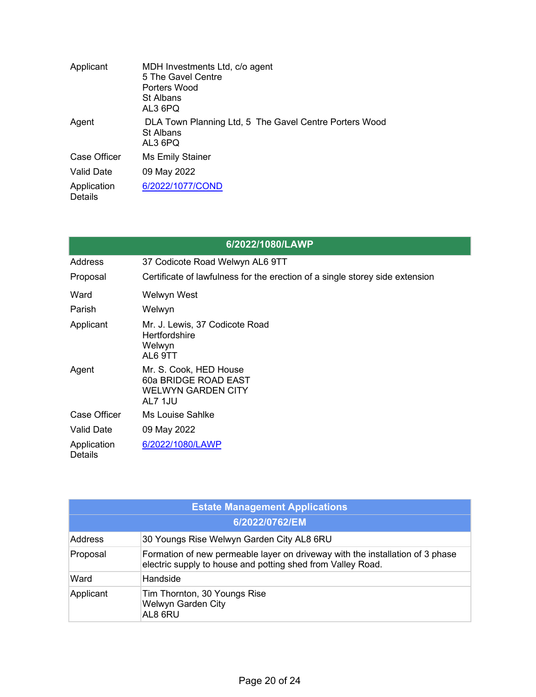| Applicant                     | MDH Investments Ltd, c/o agent<br>5 The Gavel Centre<br>Porters Wood<br>St Albans<br>AL3 6PQ |
|-------------------------------|----------------------------------------------------------------------------------------------|
| Agent                         | DLA Town Planning Ltd, 5 The Gavel Centre Porters Wood<br><b>St Albans</b><br>AL3 6PQ        |
| Case Officer                  | Ms Emily Stainer                                                                             |
| Valid Date                    | 09 May 2022                                                                                  |
| Application<br><b>Details</b> | 6/2022/1077/COND                                                                             |

| 6/2022/1080/LAWP              |                                                                                        |
|-------------------------------|----------------------------------------------------------------------------------------|
| <b>Address</b>                | 37 Codicote Road Welwyn AL6 9TT                                                        |
| Proposal                      | Certificate of lawfulness for the erection of a single storey side extension           |
| Ward                          | Welwyn West                                                                            |
| Parish                        | Welwyn                                                                                 |
| Applicant                     | Mr. J. Lewis, 37 Codicote Road<br><b>Hertfordshire</b><br>Welwyn<br>AL6 9TT            |
| Agent                         | Mr. S. Cook, HED House<br>60a BRIDGE ROAD EAST<br><b>WELWYN GARDEN CITY</b><br>AL7 1JU |
| Case Officer                  | Ms Louise Sahlke                                                                       |
| <b>Valid Date</b>             | 09 May 2022                                                                            |
| Application<br><b>Details</b> | 6/2022/1080/LAWP                                                                       |

| <b>Estate Management Applications</b> |                                                                                                                                              |  |
|---------------------------------------|----------------------------------------------------------------------------------------------------------------------------------------------|--|
| 6/2022/0762/EM                        |                                                                                                                                              |  |
| Address                               | 30 Youngs Rise Welwyn Garden City AL8 6RU                                                                                                    |  |
| Proposal                              | Formation of new permeable layer on driveway with the installation of 3 phase<br>electric supply to house and potting shed from Valley Road. |  |
| Ward                                  | Handside                                                                                                                                     |  |
| Applicant                             | Tim Thornton, 30 Youngs Rise<br><b>Welwyn Garden City</b><br>AL8 6RU                                                                         |  |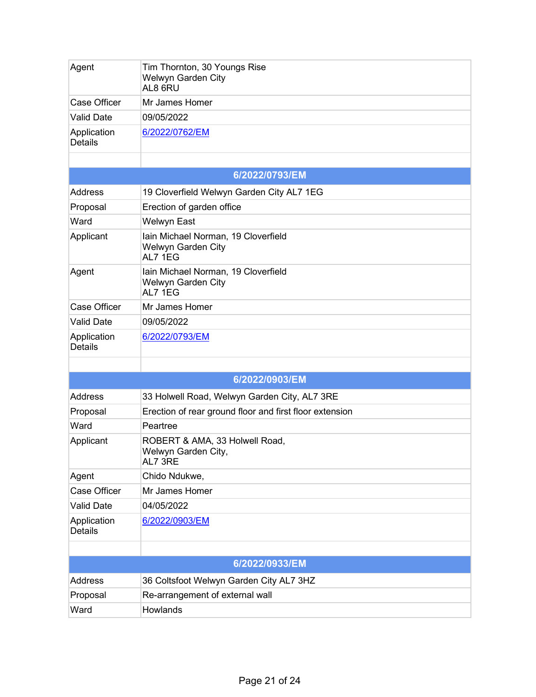| Agent                         | Tim Thornton, 30 Youngs Rise<br>Welwyn Garden City<br>AL8 6RU        |  |
|-------------------------------|----------------------------------------------------------------------|--|
| <b>Case Officer</b>           | Mr James Homer                                                       |  |
| <b>Valid Date</b>             | 09/05/2022                                                           |  |
| Application<br><b>Details</b> | 6/2022/0762/EM                                                       |  |
|                               |                                                                      |  |
|                               | 6/2022/0793/EM                                                       |  |
| <b>Address</b>                | 19 Cloverfield Welwyn Garden City AL7 1EG                            |  |
| Proposal                      | Erection of garden office                                            |  |
| Ward                          | <b>Welwyn East</b>                                                   |  |
| Applicant                     | Iain Michael Norman, 19 Cloverfield<br>Welwyn Garden City<br>AL7 1EG |  |
| Agent                         | Iain Michael Norman, 19 Cloverfield<br>Welwyn Garden City<br>AL7 1EG |  |
| <b>Case Officer</b>           | Mr James Homer                                                       |  |
| <b>Valid Date</b>             | 09/05/2022                                                           |  |
| Application<br><b>Details</b> | 6/2022/0793/EM                                                       |  |
|                               |                                                                      |  |
|                               | 6/2022/0903/EM                                                       |  |
| <b>Address</b>                | 33 Holwell Road, Welwyn Garden City, AL7 3RE                         |  |
| Proposal                      | Erection of rear ground floor and first floor extension              |  |
| Ward                          | Peartree                                                             |  |
| Applicant                     | ROBERT & AMA, 33 Holwell Road,<br>Welwyn Garden City,<br>AL7 3RE     |  |
| Agent                         | Chido Ndukwe,                                                        |  |
| <b>Case Officer</b>           | Mr James Homer                                                       |  |
| <b>Valid Date</b>             | 04/05/2022                                                           |  |
| Application<br><b>Details</b> | 6/2022/0903/EM                                                       |  |
|                               |                                                                      |  |
|                               | 6/2022/0933/EM                                                       |  |
| <b>Address</b>                | 36 Coltsfoot Welwyn Garden City AL7 3HZ                              |  |
| Proposal                      | Re-arrangement of external wall                                      |  |
| Ward                          | Howlands                                                             |  |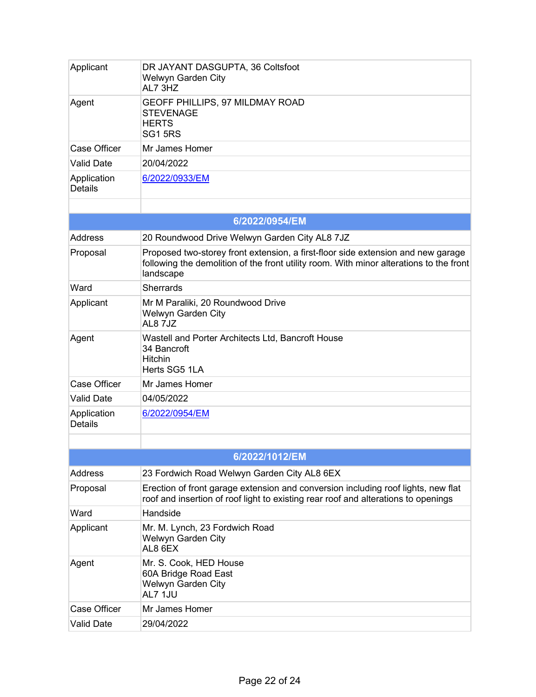| Applicant                     | DR JAYANT DASGUPTA, 36 Coltsfoot<br>Welwyn Garden City<br>AL7 3HZ                                                                                                                        |
|-------------------------------|------------------------------------------------------------------------------------------------------------------------------------------------------------------------------------------|
| Agent                         | GEOFF PHILLIPS, 97 MILDMAY ROAD<br><b>STEVENAGE</b><br><b>HERTS</b><br><b>SG1 5RS</b>                                                                                                    |
| <b>Case Officer</b>           | Mr James Homer                                                                                                                                                                           |
| <b>Valid Date</b>             | 20/04/2022                                                                                                                                                                               |
| Application<br><b>Details</b> | 6/2022/0933/EM                                                                                                                                                                           |
|                               |                                                                                                                                                                                          |
|                               | 6/2022/0954/EM                                                                                                                                                                           |
| <b>Address</b>                | 20 Roundwood Drive Welwyn Garden City AL8 7JZ                                                                                                                                            |
| Proposal                      | Proposed two-storey front extension, a first-floor side extension and new garage<br>following the demolition of the front utility room. With minor alterations to the front<br>landscape |
| Ward                          | <b>Sherrards</b>                                                                                                                                                                         |
| Applicant                     | Mr M Paraliki, 20 Roundwood Drive<br>Welwyn Garden City<br>AL87JZ                                                                                                                        |
| Agent                         | Wastell and Porter Architects Ltd, Bancroft House<br>34 Bancroft<br><b>Hitchin</b><br>Herts SG5 1LA                                                                                      |
| <b>Case Officer</b>           | Mr James Homer                                                                                                                                                                           |
| <b>Valid Date</b>             | 04/05/2022                                                                                                                                                                               |
| Application<br><b>Details</b> | 6/2022/0954/EM                                                                                                                                                                           |
|                               |                                                                                                                                                                                          |
|                               | 6/2022/1012/EM                                                                                                                                                                           |
| Address                       | 23 Fordwich Road Welwyn Garden City AL8 6EX                                                                                                                                              |
| Proposal                      | Erection of front garage extension and conversion including roof lights, new flat<br>roof and insertion of roof light to existing rear roof and alterations to openings                  |
| Ward                          | Handside                                                                                                                                                                                 |
| Applicant                     | Mr. M. Lynch, 23 Fordwich Road<br>Welwyn Garden City<br>AL8 6EX                                                                                                                          |
| Agent                         | Mr. S. Cook, HED House<br>60A Bridge Road East<br>Welwyn Garden City<br>AL7 1JU                                                                                                          |
| <b>Case Officer</b>           | Mr James Homer                                                                                                                                                                           |
| <b>Valid Date</b>             | 29/04/2022                                                                                                                                                                               |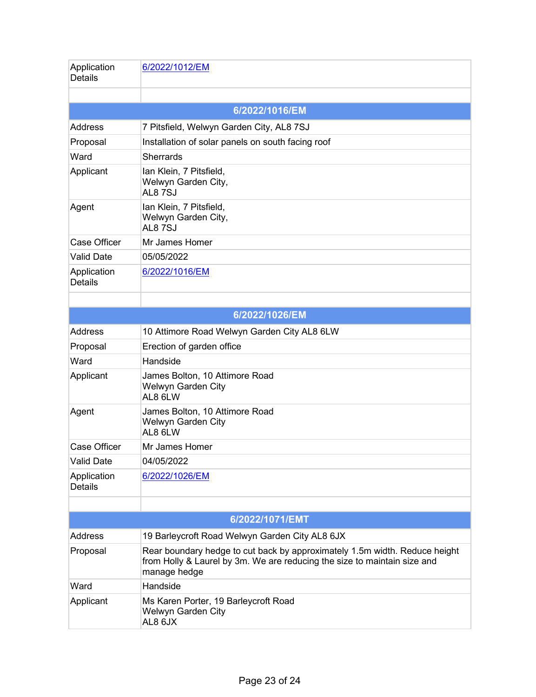| Application<br><b>Details</b> | 6/2022/1012/EM                                                                                                                                                         |
|-------------------------------|------------------------------------------------------------------------------------------------------------------------------------------------------------------------|
|                               |                                                                                                                                                                        |
|                               | 6/2022/1016/EM                                                                                                                                                         |
| Address                       | 7 Pitsfield, Welwyn Garden City, AL8 7SJ                                                                                                                               |
| Proposal                      | Installation of solar panels on south facing roof                                                                                                                      |
| Ward                          | <b>Sherrards</b>                                                                                                                                                       |
| Applicant                     | Ian Klein, 7 Pitsfield,<br>Welwyn Garden City,<br><b>AL8 7SJ</b>                                                                                                       |
| Agent                         | Ian Klein, 7 Pitsfield,<br>Welwyn Garden City,<br><b>AL8 7SJ</b>                                                                                                       |
| <b>Case Officer</b>           | Mr James Homer                                                                                                                                                         |
| <b>Valid Date</b>             | 05/05/2022                                                                                                                                                             |
| Application<br><b>Details</b> | 6/2022/1016/EM                                                                                                                                                         |
|                               |                                                                                                                                                                        |
|                               | 6/2022/1026/EM                                                                                                                                                         |
| <b>Address</b>                | 10 Attimore Road Welwyn Garden City AL8 6LW                                                                                                                            |
| Proposal                      | Erection of garden office                                                                                                                                              |
| Ward                          | Handside                                                                                                                                                               |
| Applicant                     | James Bolton, 10 Attimore Road<br>Welwyn Garden City<br>AL8 6LW                                                                                                        |
| Agent                         | James Bolton, 10 Attimore Road<br>Welwyn Garden City<br>AL8 6LW                                                                                                        |
| <b>Case Officer</b>           | Mr James Homer                                                                                                                                                         |
| <b>Valid Date</b>             | 04/05/2022                                                                                                                                                             |
| Application<br><b>Details</b> | 6/2022/1026/EM                                                                                                                                                         |
|                               |                                                                                                                                                                        |
|                               | 6/2022/1071/EMT                                                                                                                                                        |
| <b>Address</b>                | 19 Barleycroft Road Welwyn Garden City AL8 6JX                                                                                                                         |
| Proposal                      | Rear boundary hedge to cut back by approximately 1.5m width. Reduce height<br>from Holly & Laurel by 3m. We are reducing the size to maintain size and<br>manage hedge |
| Ward                          | Handside                                                                                                                                                               |
| Applicant                     | Ms Karen Porter, 19 Barleycroft Road<br>Welwyn Garden City<br>AL8 6JX                                                                                                  |